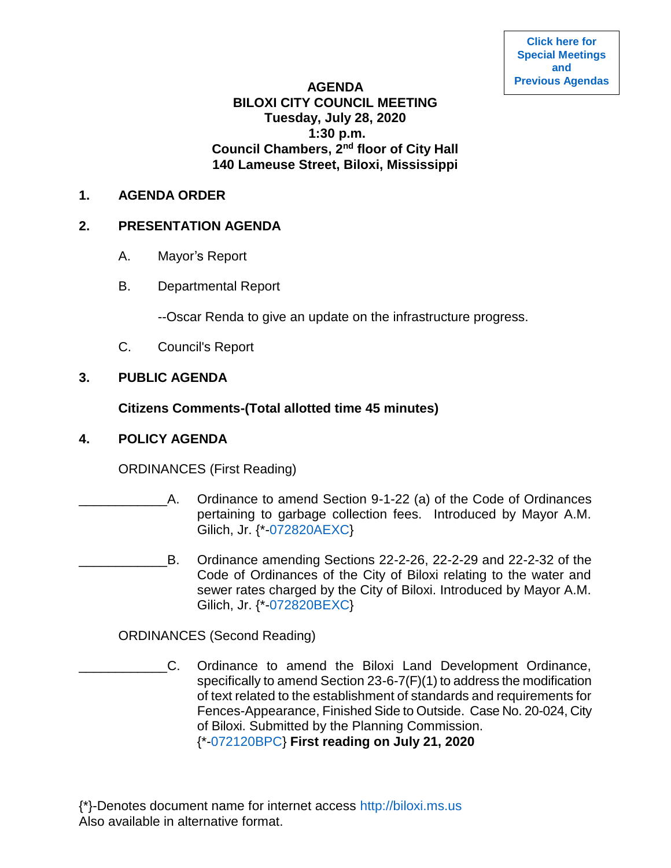### **AGENDA BILOXI CITY COUNCIL MEETING Tuesday, July 28, 2020 1:30 p.m. Council Chambers, 2nd floor of City Hall 140 Lameuse Street, Biloxi, Mississippi**

#### **1. AGENDA ORDER**

### **2. PRESENTATION AGENDA**

- A. Mayor's Report
- B. Departmental Report

--Oscar Renda to give an update on the infrastructure progress.

C. Council's Report

# **3. PUBLIC AGENDA**

# **Citizens Comments-(Total allotted time 45 minutes)**

### **4. POLICY AGENDA**

ORDINANCES (First Reading)

- \_\_\_\_\_\_\_\_\_\_\_\_A. Ordinance to amend Section 9-1-22 (a) of the Code of Ordinances pertaining to garbage collection fees. Introduced by Mayor A.M. Gilich, Jr. {\*[-072820AEXC}](https://www.biloxi.ms.us/agendas/citycouncil/2020/072820/072820aexc.pdf)
- \_\_\_\_\_\_\_\_\_\_\_\_B. Ordinance amending Sections 22-2-26, 22-2-29 and 22-2-32 of the Code of Ordinances of the City of Biloxi relating to the water and sewer rates charged by the City of Biloxi. Introduced by Mayor A.M. Gilich, Jr. {\*[-072820BEXC}](https://www.biloxi.ms.us/agendas/citycouncil/2020/072820/072820bexc.pdf)

ORDINANCES (Second Reading)

\_\_\_\_\_\_\_\_\_\_\_\_C. Ordinance to amend the Biloxi Land Development Ordinance, specifically to amend Section 23-6-7(F)(1) to address the modification of text related to the establishment of standards and requirements for Fences-Appearance, Finished Side to Outside. Case No. 20-024, City of Biloxi. Submitted by the Planning Commission. {\*[-072120BPC}](https://www.biloxi.ms.us/agendas/citycouncil/2020/072820/072120bpc.pdf) **First reading on July 21, 2020**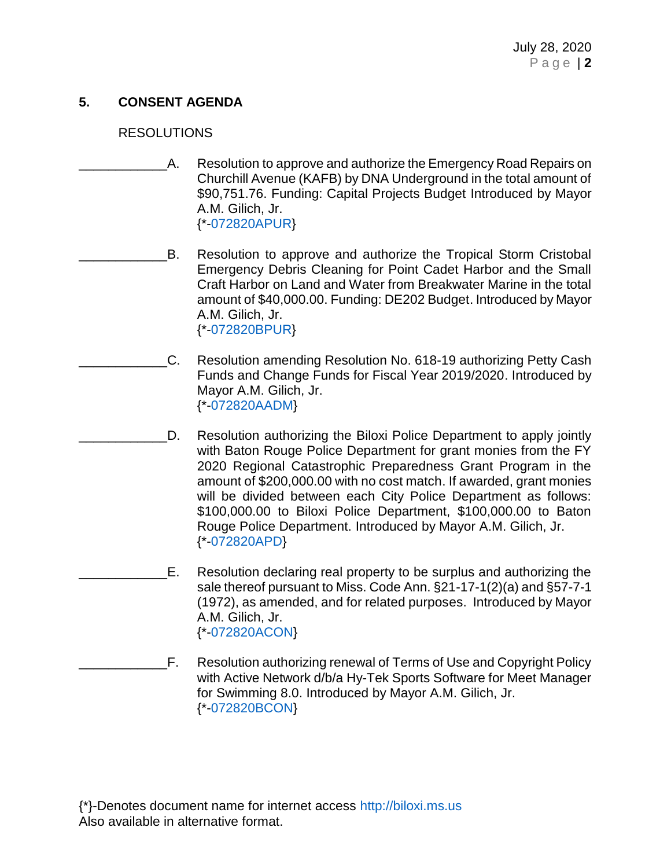# **5. CONSENT AGENDA**

## RESOLUTIONS

- A. Resolution to approve and authorize the Emergency Road Repairs on Churchill Avenue (KAFB) by DNA Underground in the total amount of \$90,751.76. Funding: Capital Projects Budget Introduced by Mayor A.M. Gilich, Jr. {\*[-072820APUR}](https://www.biloxi.ms.us/agendas/citycouncil/2020/072820/072820apur.pdf)
- B. Resolution to approve and authorize the Tropical Storm Cristobal Emergency Debris Cleaning for Point Cadet Harbor and the Small Craft Harbor on Land and Water from Breakwater Marine in the total amount of \$40,000.00. Funding: DE202 Budget. Introduced by Mayor A.M. Gilich, Jr. {\*[-072820BPUR}](https://www.biloxi.ms.us/agendas/citycouncil/2020/072820/072820bpur.pdf)
- \_\_\_\_\_\_\_\_\_\_\_\_C. Resolution amending Resolution No. 618-19 authorizing Petty Cash Funds and Change Funds for Fiscal Year 2019/2020. Introduced by Mayor A.M. Gilich, Jr. {\*[-072820AADM}](https://www.biloxi.ms.us/agendas/citycouncil/2020/072820/072820aadm.pdf)
- D. Resolution authorizing the Biloxi Police Department to apply jointly with Baton Rouge Police Department for grant monies from the FY 2020 Regional Catastrophic Preparedness Grant Program in the amount of \$200,000.00 with no cost match. If awarded, grant monies will be divided between each City Police Department as follows: \$100,000.00 to Biloxi Police Department, \$100,000.00 to Baton Rouge Police Department. Introduced by Mayor A.M. Gilich, Jr. {\*[-072820APD}](https://www.biloxi.ms.us/agendas/citycouncil/2020/072820/072820apd.pdf)
- \_\_\_\_\_\_\_\_\_\_\_\_E. Resolution declaring real property to be surplus and authorizing the sale thereof pursuant to Miss. Code Ann. §21-17-1(2)(a) and §57-7-1 (1972), as amended, and for related purposes. Introduced by Mayor A.M. Gilich, Jr. {\*[-072820ACON}](https://www.biloxi.ms.us/agendas/citycouncil/2020/072820/072820acon.pdf)
- F. Resolution authorizing renewal of Terms of Use and Copyright Policy with Active Network d/b/a Hy-Tek Sports Software for Meet Manager for Swimming 8.0. Introduced by Mayor A.M. Gilich, Jr. {\*[-072820BCON}](https://www.biloxi.ms.us/agendas/citycouncil/2020/072820/072820bcon.pdf)

{\*}-Denotes document name for internet access [http://biloxi.ms.us](http://biloxi.ms.us/) Also available in alternative format.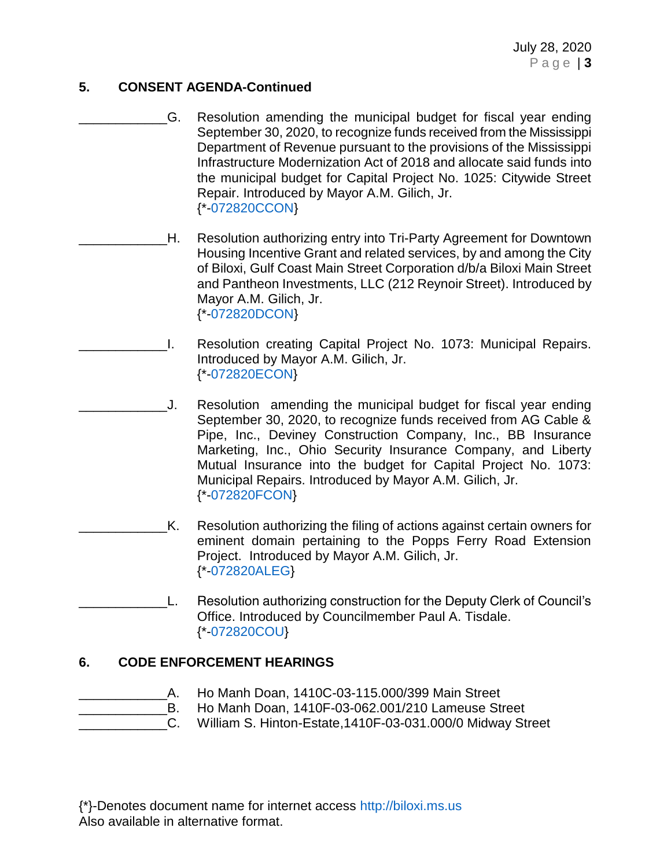July 28, 2020 P a g e | **3**

# **5. CONSENT AGENDA-Continued**

- G. Resolution amending the municipal budget for fiscal year ending September 30, 2020, to recognize funds received from the Mississippi Department of Revenue pursuant to the provisions of the Mississippi Infrastructure Modernization Act of 2018 and allocate said funds into the municipal budget for Capital Project No. 1025: Citywide Street Repair. Introduced by Mayor A.M. Gilich, Jr. {\*[-072820CCON}](https://www.biloxi.ms.us/agendas/citycouncil/2020/072820/072820ccon.pdf)
- \_\_\_\_\_\_\_\_\_\_\_\_H. Resolution authorizing entry into Tri-Party Agreement for Downtown Housing Incentive Grant and related services, by and among the City of Biloxi, Gulf Coast Main Street Corporation d/b/a Biloxi Main Street and Pantheon Investments, LLC (212 Reynoir Street). Introduced by Mayor A.M. Gilich, Jr. {\*[-072820DCON}](https://www.biloxi.ms.us/agendas/citycouncil/2020/072820/072820dcon.pdf)
- \_\_\_\_\_\_\_\_\_\_\_\_I. Resolution creating Capital Project No. 1073: Municipal Repairs. Introduced by Mayor A.M. Gilich, Jr. {\*[-072820ECON}](https://www.biloxi.ms.us/agendas/citycouncil/2020/072820/072820econ.pdf)
- J. Resolution amending the municipal budget for fiscal year ending September 30, 2020, to recognize funds received from AG Cable & Pipe, Inc., Deviney Construction Company, Inc., BB Insurance Marketing, Inc., Ohio Security Insurance Company, and Liberty Mutual Insurance into the budget for Capital Project No. 1073: Municipal Repairs. Introduced by Mayor A.M. Gilich, Jr. {\*[-072820FCON}](https://www.biloxi.ms.us/agendas/citycouncil/2020/072820/072820fcon.pdf)
- K. Resolution authorizing the filing of actions against certain owners for eminent domain pertaining to the Popps Ferry Road Extension Project. Introduced by Mayor A.M. Gilich, Jr. {\*[-072820ALEG}](https://www.biloxi.ms.us/agendas/citycouncil/2020/072820/072820aleg.pdf)
- L. Resolution authorizing construction for the Deputy Clerk of Council's Office. Introduced by Councilmember Paul A. Tisdale. {\*[-072820COU}](https://www.biloxi.ms.us/agendas/citycouncil/2020/072820/072820cou.pdf)

### **6. CODE ENFORCEMENT HEARINGS**

- \_\_\_\_\_\_\_\_\_\_\_\_A. Ho Manh Doan, 1410C-03-115.000/399 Main Street
- \_\_\_\_\_\_\_\_\_\_\_\_B. Ho Manh Doan, 1410F-03-062.001/210 Lameuse Street
- \_\_\_\_\_\_\_\_\_\_\_\_C. William S. Hinton-Estate,1410F-03-031.000/0 Midway Street

{\*}-Denotes document name for internet access [http://biloxi.ms.us](http://biloxi.ms.us/) Also available in alternative format.